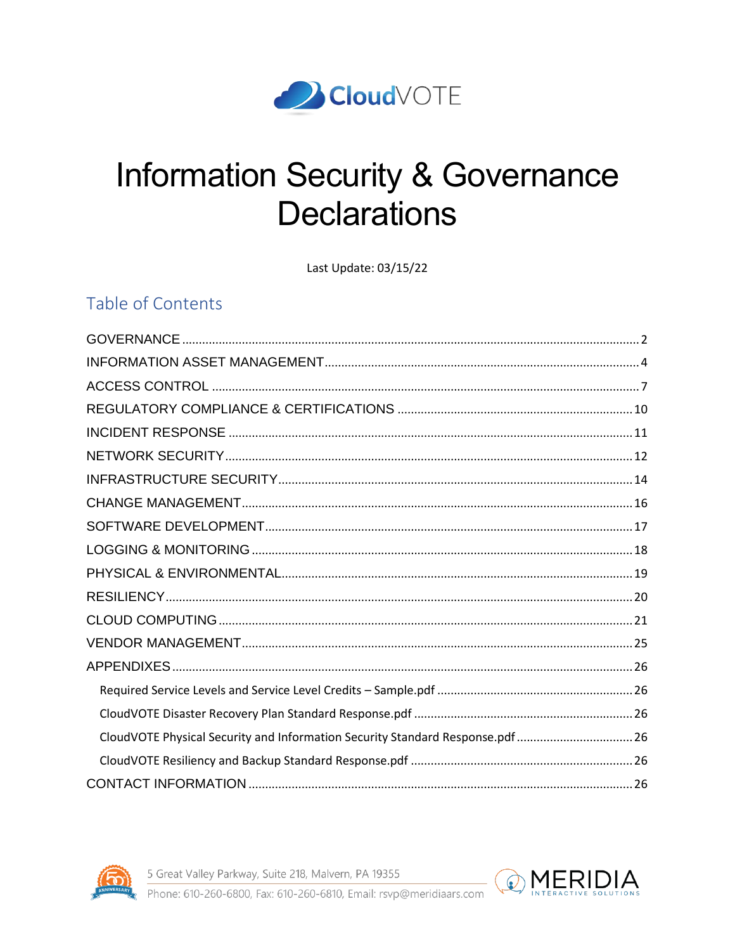

# **Information Security & Governance Declarations**

Last Update: 03/15/22

# Table of Contents

| CloudVOTE Physical Security and Information Security Standard Response.pdf 26 |  |
|-------------------------------------------------------------------------------|--|
|                                                                               |  |
|                                                                               |  |



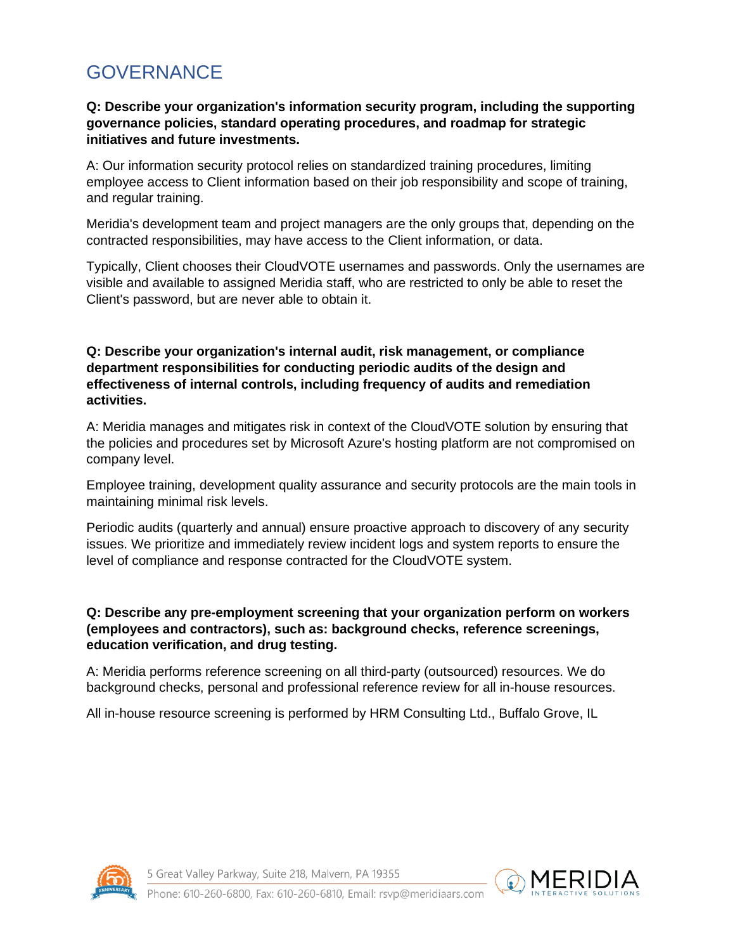# <span id="page-1-0"></span>GOVERNANCE

### **Q: Describe your organization's information security program, including the supporting governance policies, standard operating procedures, and roadmap for strategic initiatives and future investments.**

A: Our information security protocol relies on standardized training procedures, limiting employee access to Client information based on their job responsibility and scope of training, and regular training.

Meridia's development team and project managers are the only groups that, depending on the contracted responsibilities, may have access to the Client information, or data.

Typically, Client chooses their CloudVOTE usernames and passwords. Only the usernames are visible and available to assigned Meridia staff, who are restricted to only be able to reset the Client's password, but are never able to obtain it.

#### **Q: Describe your organization's internal audit, risk management, or compliance department responsibilities for conducting periodic audits of the design and effectiveness of internal controls, including frequency of audits and remediation activities.**

A: Meridia manages and mitigates risk in context of the CloudVOTE solution by ensuring that the policies and procedures set by Microsoft Azure's hosting platform are not compromised on company level.

Employee training, development quality assurance and security protocols are the main tools in maintaining minimal risk levels.

Periodic audits (quarterly and annual) ensure proactive approach to discovery of any security issues. We prioritize and immediately review incident logs and system reports to ensure the level of compliance and response contracted for the CloudVOTE system.

# **Q: Describe any pre-employment screening that your organization perform on workers (employees and contractors), such as: background checks, reference screenings, education verification, and drug testing.**

A: Meridia performs reference screening on all third-party (outsourced) resources. We do background checks, personal and professional reference review for all in-house resources.

All in-house resource screening is performed by HRM Consulting Ltd., Buffalo Grove, IL



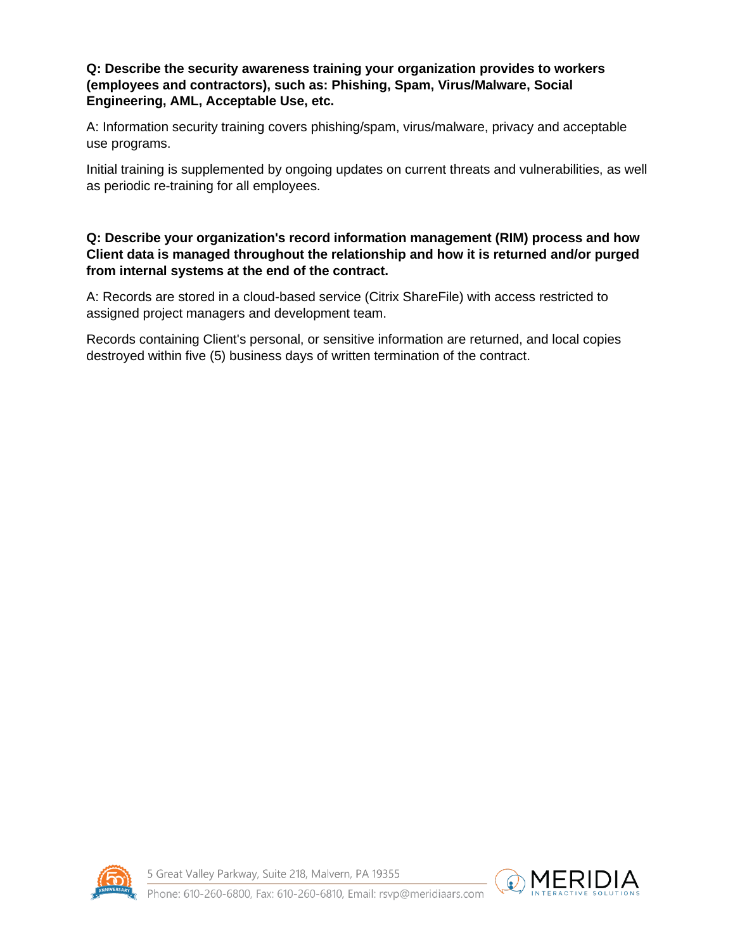#### **Q: Describe the security awareness training your organization provides to workers (employees and contractors), such as: Phishing, Spam, Virus/Malware, Social Engineering, AML, Acceptable Use, etc.**

A: Information security training covers phishing/spam, virus/malware, privacy and acceptable use programs.

Initial training is supplemented by ongoing updates on current threats and vulnerabilities, as well as periodic re-training for all employees.

# **Q: Describe your organization's record information management (RIM) process and how Client data is managed throughout the relationship and how it is returned and/or purged from internal systems at the end of the contract.**

A: Records are stored in a cloud-based service (Citrix ShareFile) with access restricted to assigned project managers and development team.

Records containing Client's personal, or sensitive information are returned, and local copies destroyed within five (5) business days of written termination of the contract.



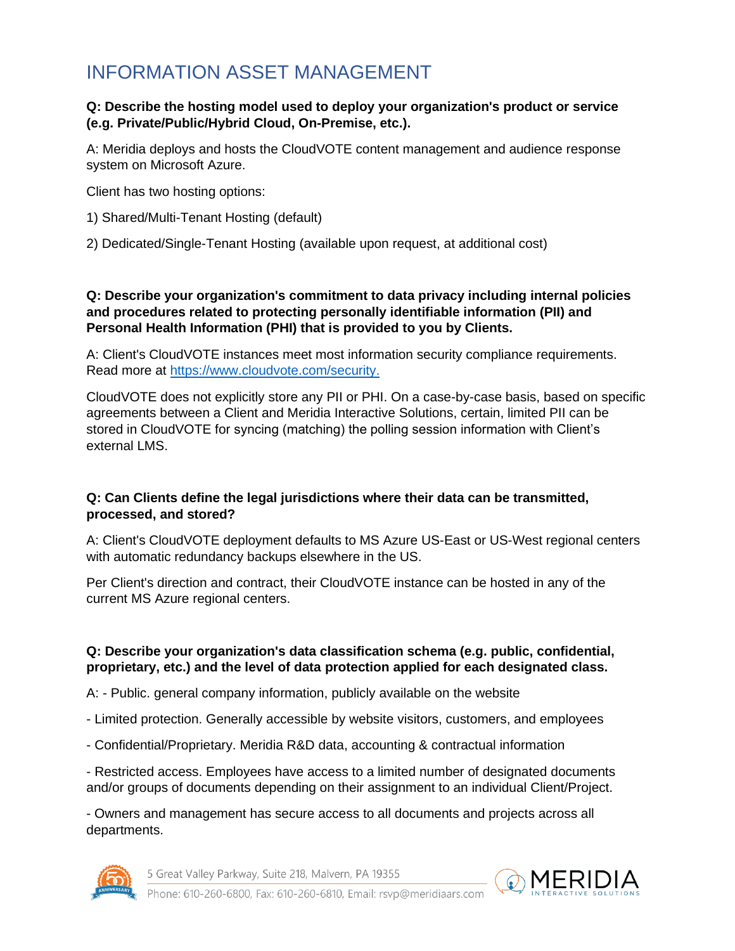# <span id="page-3-0"></span>INFORMATION ASSET MANAGEMENT

#### **Q: Describe the hosting model used to deploy your organization's product or service (e.g. Private/Public/Hybrid Cloud, On-Premise, etc.).**

A: Meridia deploys and hosts the CloudVOTE content management and audience response system on Microsoft Azure.

Client has two hosting options:

- 1) Shared/Multi-Tenant Hosting (default)
- 2) Dedicated/Single-Tenant Hosting (available upon request, at additional cost)

#### **Q: Describe your organization's commitment to data privacy including internal policies and procedures related to protecting personally identifiable information (PII) and Personal Health Information (PHI) that is provided to you by Clients.**

A: Client's CloudVOTE instances meet most information security compliance requirements. Read more at [https://www.cloudvote.com/security.](https://www.cloudvote.com/security)

CloudVOTE does not explicitly store any PII or PHI. On a case-by-case basis, based on specific agreements between a Client and Meridia Interactive Solutions, certain, limited PII can be stored in CloudVOTE for syncing (matching) the polling session information with Client's external LMS.

# **Q: Can Clients define the legal jurisdictions where their data can be transmitted, processed, and stored?**

A: Client's CloudVOTE deployment defaults to MS Azure US-East or US-West regional centers with automatic redundancy backups elsewhere in the US.

Per Client's direction and contract, their CloudVOTE instance can be hosted in any of the current MS Azure regional centers.

#### **Q: Describe your organization's data classification schema (e.g. public, confidential, proprietary, etc.) and the level of data protection applied for each designated class.**

A: - Public. general company information, publicly available on the website

- Limited protection. Generally accessible by website visitors, customers, and employees
- Confidential/Proprietary. Meridia R&D data, accounting & contractual information

- Restricted access. Employees have access to a limited number of designated documents and/or groups of documents depending on their assignment to an individual Client/Project.

- Owners and management has secure access to all documents and projects across all departments.



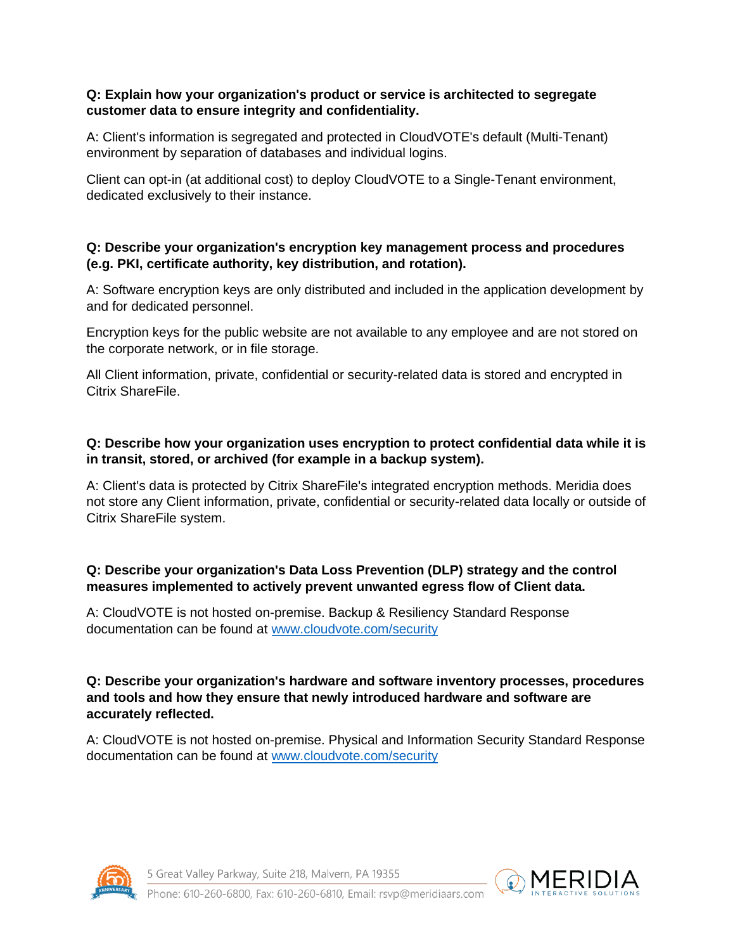#### **Q: Explain how your organization's product or service is architected to segregate customer data to ensure integrity and confidentiality.**

A: Client's information is segregated and protected in CloudVOTE's default (Multi-Tenant) environment by separation of databases and individual logins.

Client can opt-in (at additional cost) to deploy CloudVOTE to a Single-Tenant environment, dedicated exclusively to their instance.

### **Q: Describe your organization's encryption key management process and procedures (e.g. PKI, certificate authority, key distribution, and rotation).**

A: Software encryption keys are only distributed and included in the application development by and for dedicated personnel.

Encryption keys for the public website are not available to any employee and are not stored on the corporate network, or in file storage.

All Client information, private, confidential or security-related data is stored and encrypted in Citrix ShareFile.

# **Q: Describe how your organization uses encryption to protect confidential data while it is in transit, stored, or archived (for example in a backup system).**

A: Client's data is protected by Citrix ShareFile's integrated encryption methods. Meridia does not store any Client information, private, confidential or security-related data locally or outside of Citrix ShareFile system.

# **Q: Describe your organization's Data Loss Prevention (DLP) strategy and the control measures implemented to actively prevent unwanted egress flow of Client data.**

A: CloudVOTE is not hosted on-premise. Backup & Resiliency Standard Response documentation can be found at [www.cloudvote.com/security](http://www.cloudvote.com/security)

### **Q: Describe your organization's hardware and software inventory processes, procedures and tools and how they ensure that newly introduced hardware and software are accurately reflected.**

A: CloudVOTE is not hosted on-premise. Physical and Information Security Standard Response documentation can be found at [www.cloudvote.com/security](http://www.cloudvote.com/security)



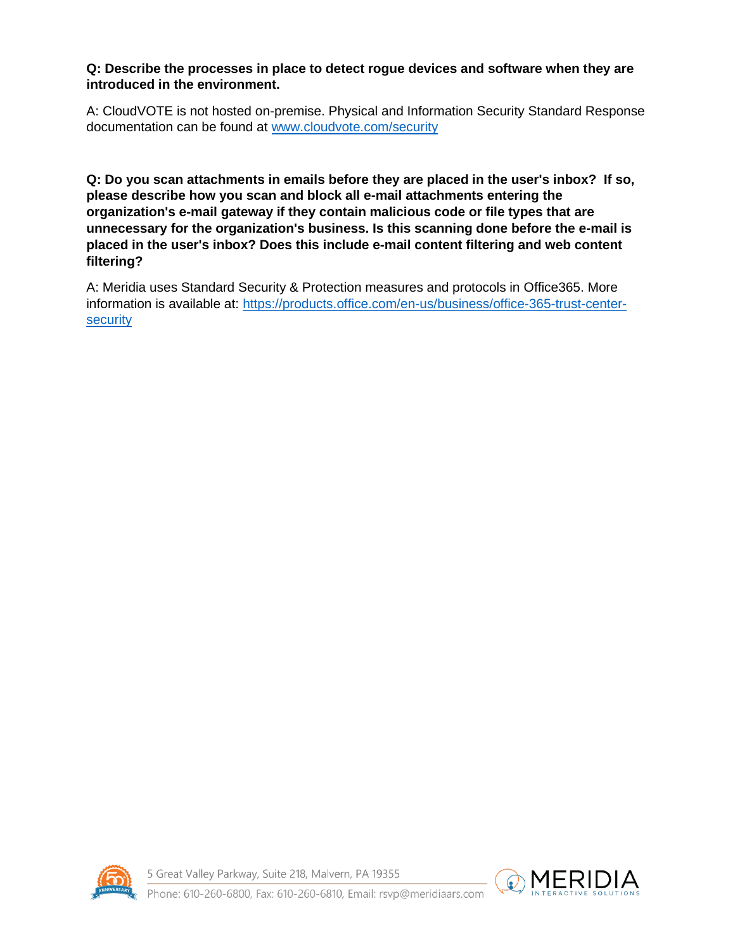### **Q: Describe the processes in place to detect rogue devices and software when they are introduced in the environment.**

A: CloudVOTE is not hosted on-premise. Physical and Information Security Standard Response documentation can be found at [www.cloudvote.com/security](http://www.cloudvote.com/security)

**Q: Do you scan attachments in emails before they are placed in the user's inbox? If so, please describe how you scan and block all e-mail attachments entering the organization's e-mail gateway if they contain malicious code or file types that are unnecessary for the organization's business. Is this scanning done before the e-mail is placed in the user's inbox? Does this include e-mail content filtering and web content filtering?**

A: Meridia uses Standard Security & Protection measures and protocols in Office365. More information is available at: [https://products.office.com/en-us/business/office-365-trust-center](https://products.office.com/en-us/business/office-365-trust-center-security)[security](https://products.office.com/en-us/business/office-365-trust-center-security)



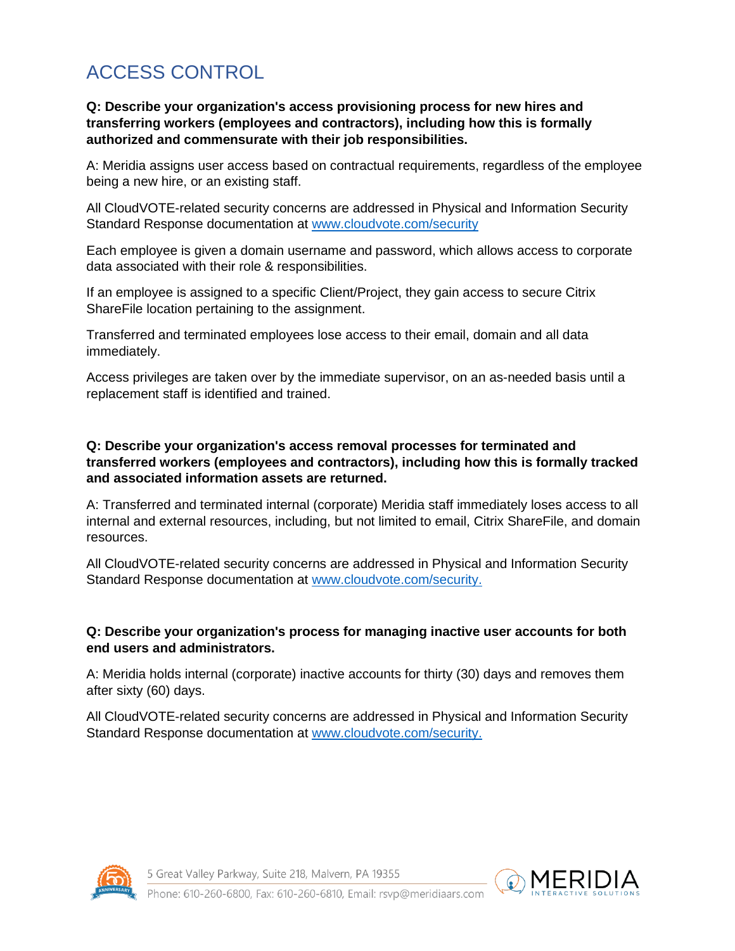# <span id="page-6-0"></span>ACCESS CONTROL

### **Q: Describe your organization's access provisioning process for new hires and transferring workers (employees and contractors), including how this is formally authorized and commensurate with their job responsibilities.**

A: Meridia assigns user access based on contractual requirements, regardless of the employee being a new hire, or an existing staff.

All CloudVOTE-related security concerns are addressed in Physical and Information Security Standard Response documentation at [www.cloudvote.com/security](http://www.cloudvote.com/security)

Each employee is given a domain username and password, which allows access to corporate data associated with their role & responsibilities.

If an employee is assigned to a specific Client/Project, they gain access to secure Citrix ShareFile location pertaining to the assignment.

Transferred and terminated employees lose access to their email, domain and all data immediately.

Access privileges are taken over by the immediate supervisor, on an as-needed basis until a replacement staff is identified and trained.

#### **Q: Describe your organization's access removal processes for terminated and transferred workers (employees and contractors), including how this is formally tracked and associated information assets are returned.**

A: Transferred and terminated internal (corporate) Meridia staff immediately loses access to all internal and external resources, including, but not limited to email, Citrix ShareFile, and domain resources.

All CloudVOTE-related security concerns are addressed in Physical and Information Security Standard Response documentation at [www.cloudvote.com/security.](http://www.cloudvote.com/security)

#### **Q: Describe your organization's process for managing inactive user accounts for both end users and administrators.**

A: Meridia holds internal (corporate) inactive accounts for thirty (30) days and removes them after sixty (60) days.

All CloudVOTE-related security concerns are addressed in Physical and Information Security Standard Response documentation at [www.cloudvote.com/security.](http://www.cloudvote.com/security)



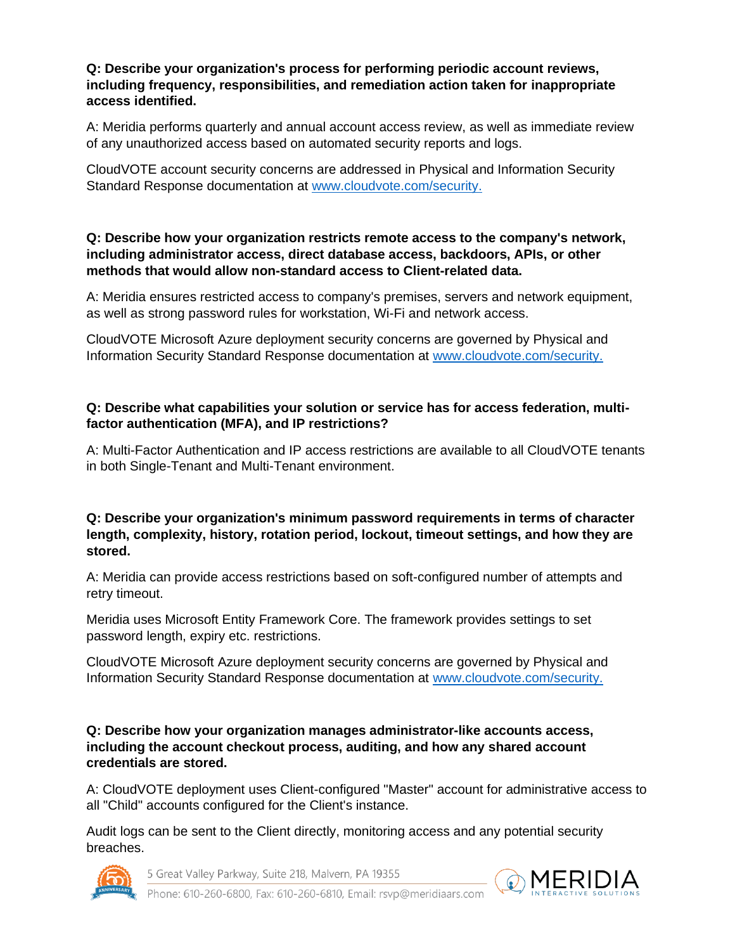#### **Q: Describe your organization's process for performing periodic account reviews, including frequency, responsibilities, and remediation action taken for inappropriate access identified.**

A: Meridia performs quarterly and annual account access review, as well as immediate review of any unauthorized access based on automated security reports and logs.

CloudVOTE account security concerns are addressed in Physical and Information Security Standard Response documentation at [www.cloudvote.com/security.](http://www.cloudvote.com/security)

### **Q: Describe how your organization restricts remote access to the company's network, including administrator access, direct database access, backdoors, APIs, or other methods that would allow non-standard access to Client-related data.**

A: Meridia ensures restricted access to company's premises, servers and network equipment, as well as strong password rules for workstation, Wi-Fi and network access.

CloudVOTE Microsoft Azure deployment security concerns are governed by Physical and Information Security Standard Response documentation at [www.cloudvote.com/security.](http://www.cloudvote.com/security)

### **Q: Describe what capabilities your solution or service has for access federation, multifactor authentication (MFA), and IP restrictions?**

A: Multi-Factor Authentication and IP access restrictions are available to all CloudVOTE tenants in both Single-Tenant and Multi-Tenant environment.

#### **Q: Describe your organization's minimum password requirements in terms of character length, complexity, history, rotation period, lockout, timeout settings, and how they are stored.**

A: Meridia can provide access restrictions based on soft-configured number of attempts and retry timeout.

Meridia uses Microsoft Entity Framework Core. The framework provides settings to set password length, expiry etc. restrictions.

CloudVOTE Microsoft Azure deployment security concerns are governed by Physical and Information Security Standard Response documentation at [www.cloudvote.com/security.](http://www.cloudvote.com/security)

**Q: Describe how your organization manages administrator-like accounts access, including the account checkout process, auditing, and how any shared account credentials are stored.**

A: CloudVOTE deployment uses Client-configured "Master" account for administrative access to all "Child" accounts configured for the Client's instance.

Audit logs can be sent to the Client directly, monitoring access and any potential security breaches.



5 Great Valley Parkway, Suite 218, Malvern, PA 19355

MERIDIA

Phone: 610-260-6800, Fax: 610-260-6810, Email: rsyp@meridiaars.com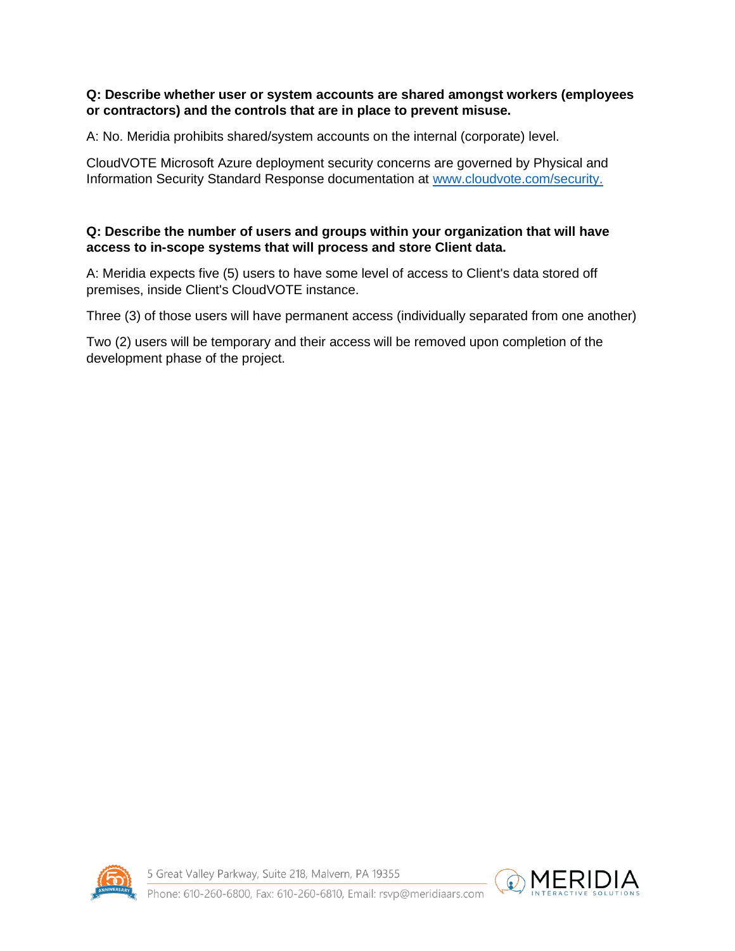#### **Q: Describe whether user or system accounts are shared amongst workers (employees or contractors) and the controls that are in place to prevent misuse.**

A: No. Meridia prohibits shared/system accounts on the internal (corporate) level.

CloudVOTE Microsoft Azure deployment security concerns are governed by Physical and Information Security Standard Response documentation at [www.cloudvote.com/security.](http://www.cloudvote.com/security)

# **Q: Describe the number of users and groups within your organization that will have access to in-scope systems that will process and store Client data.**

A: Meridia expects five (5) users to have some level of access to Client's data stored off premises, inside Client's CloudVOTE instance.

Three (3) of those users will have permanent access (individually separated from one another)

Two (2) users will be temporary and their access will be removed upon completion of the development phase of the project.



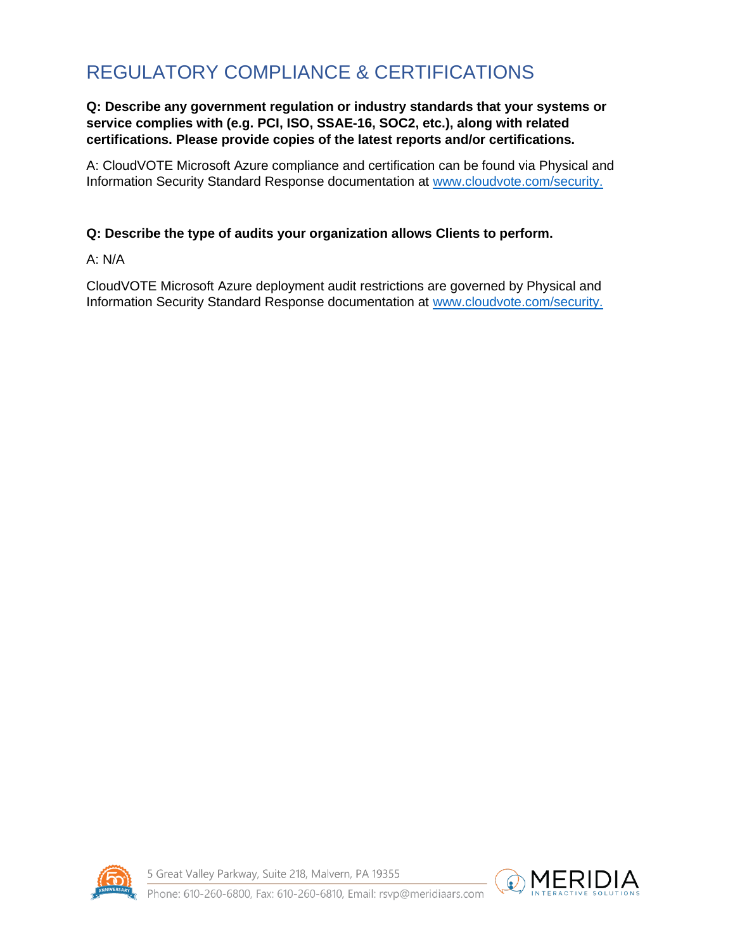# <span id="page-9-0"></span>REGULATORY COMPLIANCE & CERTIFICATIONS

# **Q: Describe any government regulation or industry standards that your systems or service complies with (e.g. PCI, ISO, SSAE-16, SOC2, etc.), along with related certifications. Please provide copies of the latest reports and/or certifications.**

A: CloudVOTE Microsoft Azure compliance and certification can be found via Physical and Information Security Standard Response documentation at [www.cloudvote.com/security.](http://www.cloudvote.com/security)

# **Q: Describe the type of audits your organization allows Clients to perform.**

A: N/A

CloudVOTE Microsoft Azure deployment audit restrictions are governed by Physical and Information Security Standard Response documentation at [www.cloudvote.com/security.](http://www.cloudvote.com/security)



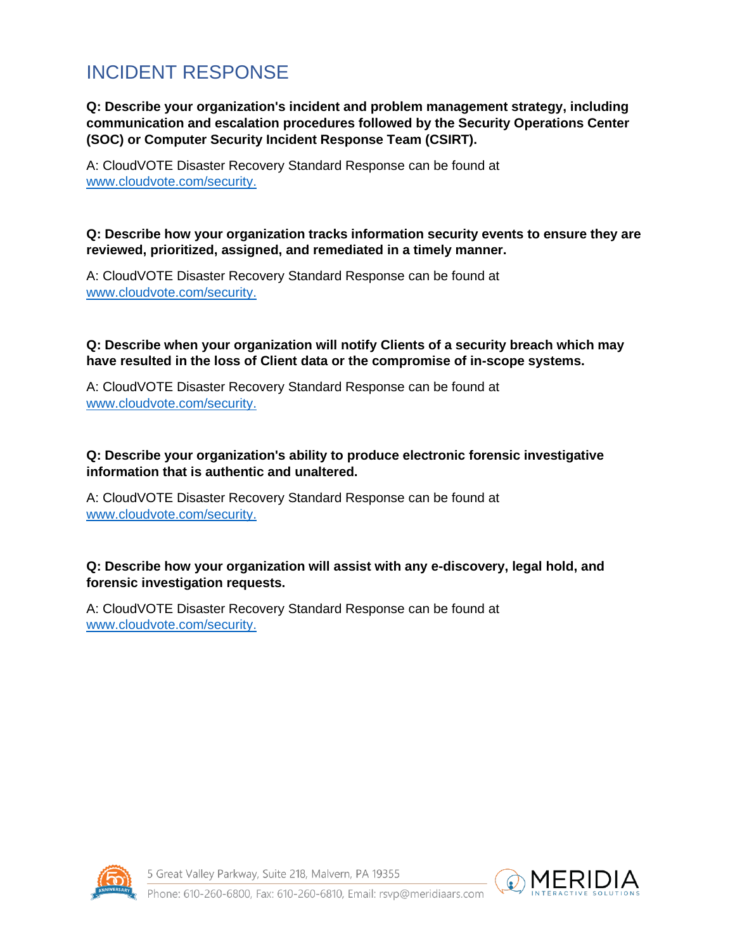# <span id="page-10-0"></span>INCIDENT RESPONSE

**Q: Describe your organization's incident and problem management strategy, including communication and escalation procedures followed by the Security Operations Center (SOC) or Computer Security Incident Response Team (CSIRT).**

A: CloudVOTE Disaster Recovery Standard Response can be found at [www.cloudvote.com/security.](http://www.cloudvote.com/security)

#### **Q: Describe how your organization tracks information security events to ensure they are reviewed, prioritized, assigned, and remediated in a timely manner.**

A: CloudVOTE Disaster Recovery Standard Response can be found at [www.cloudvote.com/security.](http://www.cloudvote.com/security)

# **Q: Describe when your organization will notify Clients of a security breach which may have resulted in the loss of Client data or the compromise of in-scope systems.**

A: CloudVOTE Disaster Recovery Standard Response can be found at [www.cloudvote.com/security.](http://www.cloudvote.com/security)

# **Q: Describe your organization's ability to produce electronic forensic investigative information that is authentic and unaltered.**

A: CloudVOTE Disaster Recovery Standard Response can be found at [www.cloudvote.com/security.](http://www.cloudvote.com/security)

# **Q: Describe how your organization will assist with any e-discovery, legal hold, and forensic investigation requests.**

A: CloudVOTE Disaster Recovery Standard Response can be found at [www.cloudvote.com/security.](http://www.cloudvote.com/security)



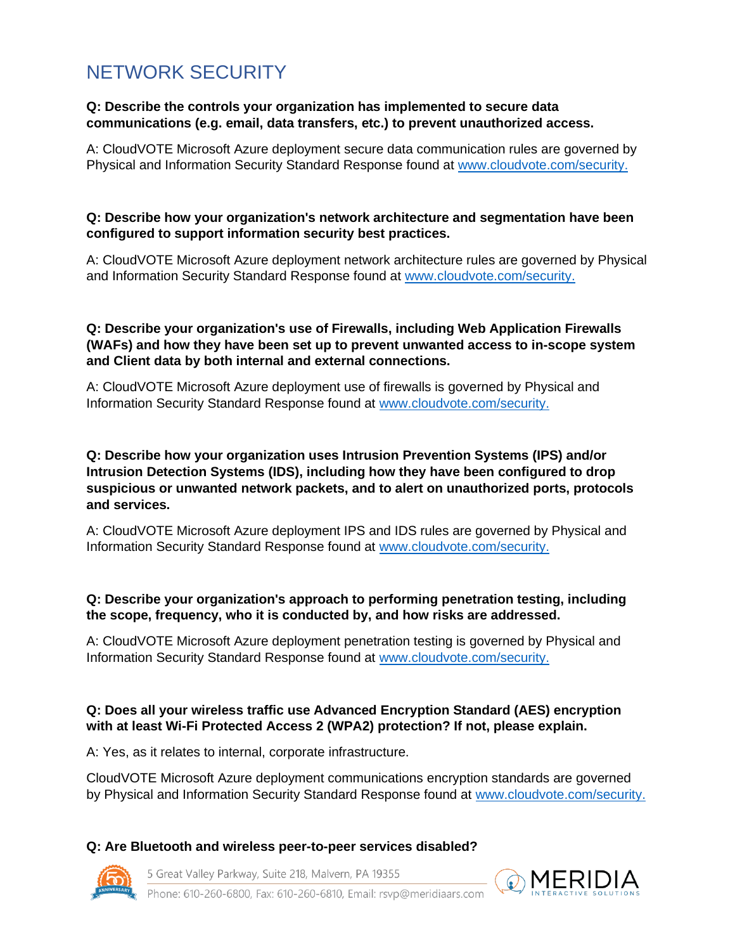# <span id="page-11-0"></span>NETWORK SECURITY

#### **Q: Describe the controls your organization has implemented to secure data communications (e.g. email, data transfers, etc.) to prevent unauthorized access.**

A: CloudVOTE Microsoft Azure deployment secure data communication rules are governed by Physical and Information Security Standard Response found at [www.cloudvote.com/security.](http://www.cloudvote.com/security)

#### **Q: Describe how your organization's network architecture and segmentation have been configured to support information security best practices.**

A: CloudVOTE Microsoft Azure deployment network architecture rules are governed by Physical and Information Security Standard Response found at [www.cloudvote.com/security.](http://www.cloudvote.com/security)

### **Q: Describe your organization's use of Firewalls, including Web Application Firewalls (WAFs) and how they have been set up to prevent unwanted access to in-scope system and Client data by both internal and external connections.**

A: CloudVOTE Microsoft Azure deployment use of firewalls is governed by Physical and Information Security Standard Response found at [www.cloudvote.com/security.](http://www.cloudvote.com/security)

#### **Q: Describe how your organization uses Intrusion Prevention Systems (IPS) and/or Intrusion Detection Systems (IDS), including how they have been configured to drop suspicious or unwanted network packets, and to alert on unauthorized ports, protocols and services.**

A: CloudVOTE Microsoft Azure deployment IPS and IDS rules are governed by Physical and Information Security Standard Response found at [www.cloudvote.com/security.](http://www.cloudvote.com/security)

# **Q: Describe your organization's approach to performing penetration testing, including the scope, frequency, who it is conducted by, and how risks are addressed.**

A: CloudVOTE Microsoft Azure deployment penetration testing is governed by Physical and Information Security Standard Response found at [www.cloudvote.com/security.](http://www.cloudvote.com/security)

# **Q: Does all your wireless traffic use Advanced Encryption Standard (AES) encryption with at least Wi-Fi Protected Access 2 (WPA2) protection? If not, please explain.**

A: Yes, as it relates to internal, corporate infrastructure.

CloudVOTE Microsoft Azure deployment communications encryption standards are governed by Physical and Information Security Standard Response found at [www.cloudvote.com/security.](http://www.cloudvote.com/security)

# **Q: Are Bluetooth and wireless peer-to-peer services disabled?**

5 Great Valley Parkway, Suite 218, Malvern, PA 19355



Phone: 610-260-6800, Fax: 610-260-6810, Email: rsyp@meridiaars.com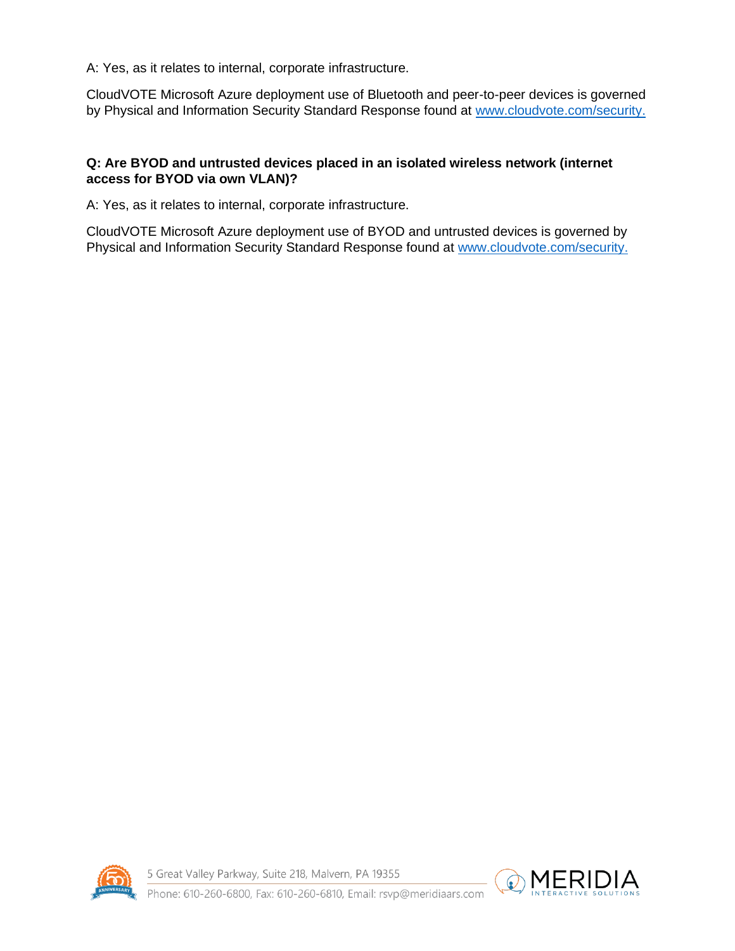A: Yes, as it relates to internal, corporate infrastructure.

CloudVOTE Microsoft Azure deployment use of Bluetooth and peer-to-peer devices is governed by Physical and Information Security Standard Response found at [www.cloudvote.com/security.](http://www.cloudvote.com/security)

# **Q: Are BYOD and untrusted devices placed in an isolated wireless network (internet access for BYOD via own VLAN)?**

A: Yes, as it relates to internal, corporate infrastructure.

CloudVOTE Microsoft Azure deployment use of BYOD and untrusted devices is governed by Physical and Information Security Standard Response found at [www.cloudvote.com/security.](http://www.cloudvote.com/security)



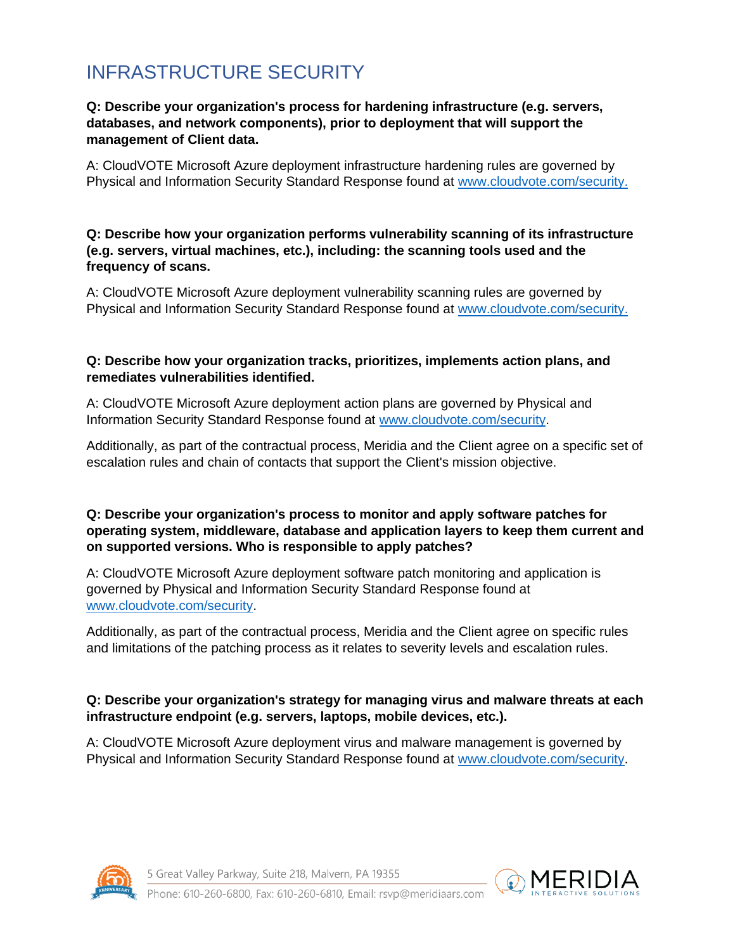# <span id="page-13-0"></span>INFRASTRUCTURE SECURITY

#### **Q: Describe your organization's process for hardening infrastructure (e.g. servers, databases, and network components), prior to deployment that will support the management of Client data.**

A: CloudVOTE Microsoft Azure deployment infrastructure hardening rules are governed by Physical and Information Security Standard Response found at [www.cloudvote.com/security.](http://www.cloudvote.com/security)

#### **Q: Describe how your organization performs vulnerability scanning of its infrastructure (e.g. servers, virtual machines, etc.), including: the scanning tools used and the frequency of scans.**

A: CloudVOTE Microsoft Azure deployment vulnerability scanning rules are governed by Physical and Information Security Standard Response found at [www.cloudvote.com/security.](http://www.cloudvote.com/security)

#### **Q: Describe how your organization tracks, prioritizes, implements action plans, and remediates vulnerabilities identified.**

A: CloudVOTE Microsoft Azure deployment action plans are governed by Physical and Information Security Standard Response found at [www.cloudvote.com/security.](http://www.cloudvote.com/security)

Additionally, as part of the contractual process, Meridia and the Client agree on a specific set of escalation rules and chain of contacts that support the Client's mission objective.

# **Q: Describe your organization's process to monitor and apply software patches for operating system, middleware, database and application layers to keep them current and on supported versions. Who is responsible to apply patches?**

A: CloudVOTE Microsoft Azure deployment software patch monitoring and application is governed by Physical and Information Security Standard Response found at [www.cloudvote.com/security.](http://www.cloudvote.com/security)

Additionally, as part of the contractual process, Meridia and the Client agree on specific rules and limitations of the patching process as it relates to severity levels and escalation rules.

# **Q: Describe your organization's strategy for managing virus and malware threats at each infrastructure endpoint (e.g. servers, laptops, mobile devices, etc.).**

A: CloudVOTE Microsoft Azure deployment virus and malware management is governed by Physical and Information Security Standard Response found at [www.cloudvote.com/security.](http://www.cloudvote.com/security)



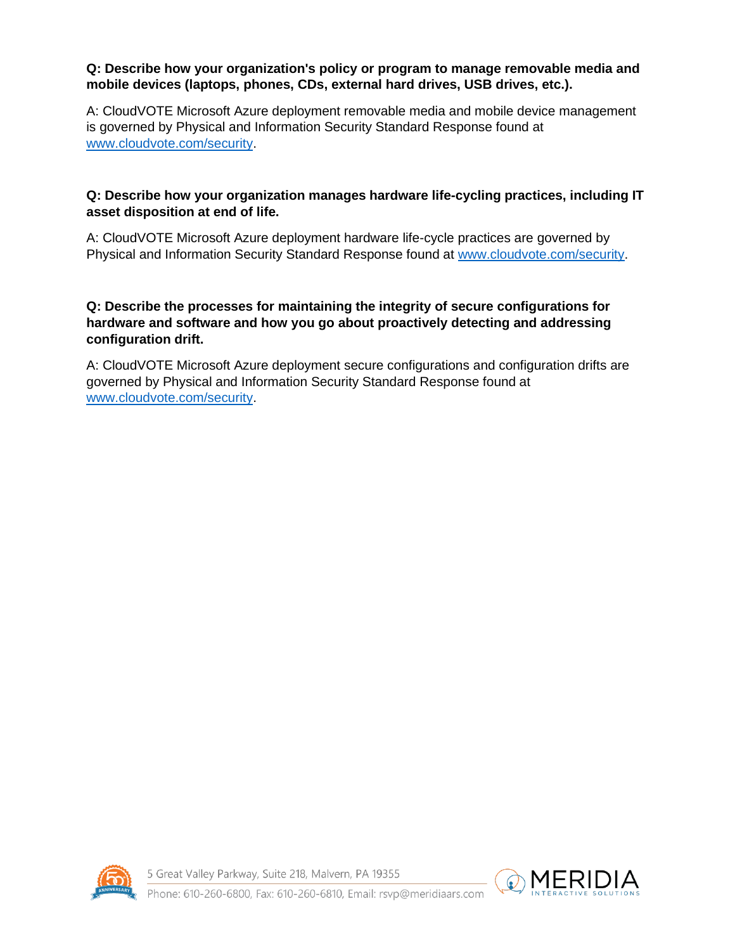#### **Q: Describe how your organization's policy or program to manage removable media and mobile devices (laptops, phones, CDs, external hard drives, USB drives, etc.).**

A: CloudVOTE Microsoft Azure deployment removable media and mobile device management is governed by Physical and Information Security Standard Response found at [www.cloudvote.com/security.](http://www.cloudvote.com/security)

# **Q: Describe how your organization manages hardware life-cycling practices, including IT asset disposition at end of life.**

A: CloudVOTE Microsoft Azure deployment hardware life-cycle practices are governed by Physical and Information Security Standard Response found at [www.cloudvote.com/security.](http://www.cloudvote.com/security)

# **Q: Describe the processes for maintaining the integrity of secure configurations for hardware and software and how you go about proactively detecting and addressing configuration drift.**

A: CloudVOTE Microsoft Azure deployment secure configurations and configuration drifts are governed by Physical and Information Security Standard Response found at [www.cloudvote.com/security.](http://www.cloudvote.com/security)



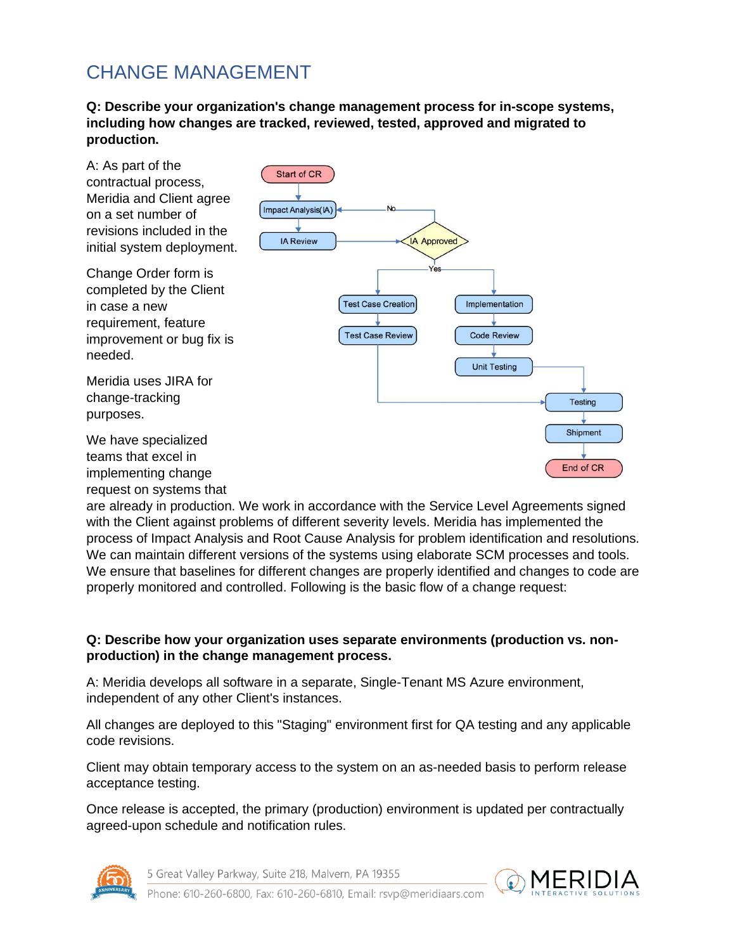# <span id="page-15-0"></span>CHANGE MANAGEMENT

**Q: Describe your organization's change management process for in-scope systems, including how changes are tracked, reviewed, tested, approved and migrated to production.**



are already in production. We work in accordance with the Service Level Agreements signed with the Client against problems of different severity levels. Meridia has implemented the process of Impact Analysis and Root Cause Analysis for problem identification and resolutions. We can maintain different versions of the systems using elaborate SCM processes and tools. We ensure that baselines for different changes are properly identified and changes to code are properly monitored and controlled. Following is the basic flow of a change request:

# **Q: Describe how your organization uses separate environments (production vs. nonproduction) in the change management process.**

A: Meridia develops all software in a separate, Single-Tenant MS Azure environment, independent of any other Client's instances.

All changes are deployed to this "Staging" environment first for QA testing and any applicable code revisions.

Client may obtain temporary access to the system on an as-needed basis to perform release acceptance testing.

Once release is accepted, the primary (production) environment is updated per contractually agreed-upon schedule and notification rules.



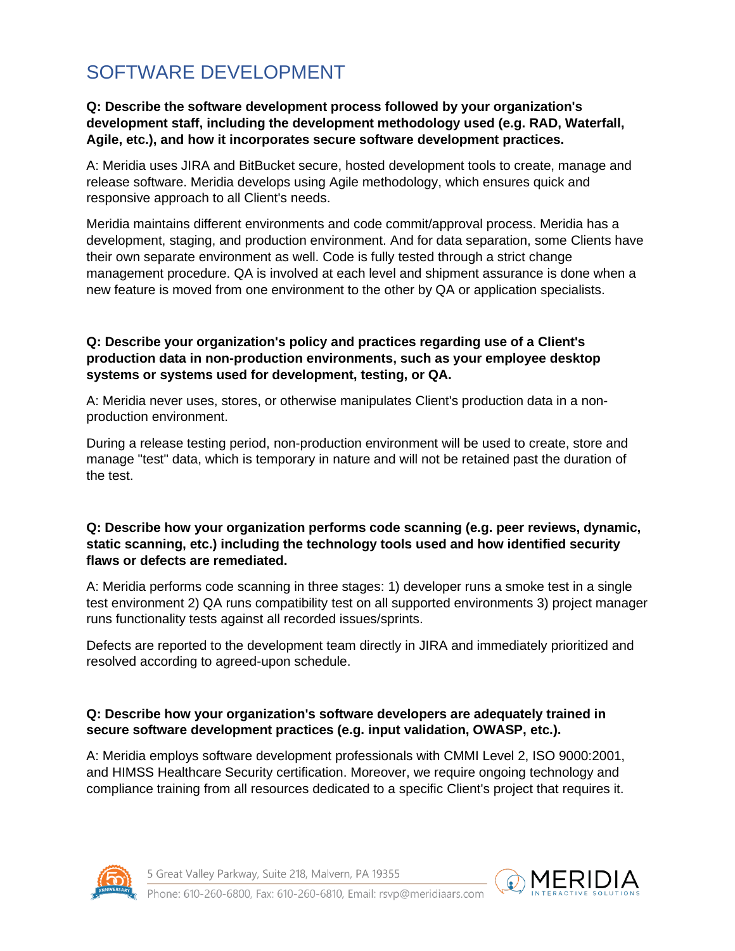# <span id="page-16-0"></span>SOFTWARE DEVELOPMENT

#### **Q: Describe the software development process followed by your organization's development staff, including the development methodology used (e.g. RAD, Waterfall, Agile, etc.), and how it incorporates secure software development practices.**

A: Meridia uses JIRA and BitBucket secure, hosted development tools to create, manage and release software. Meridia develops using Agile methodology, which ensures quick and responsive approach to all Client's needs.

Meridia maintains different environments and code commit/approval process. Meridia has a development, staging, and production environment. And for data separation, some Clients have their own separate environment as well. Code is fully tested through a strict change management procedure. QA is involved at each level and shipment assurance is done when a new feature is moved from one environment to the other by QA or application specialists.

#### **Q: Describe your organization's policy and practices regarding use of a Client's production data in non-production environments, such as your employee desktop systems or systems used for development, testing, or QA.**

A: Meridia never uses, stores, or otherwise manipulates Client's production data in a nonproduction environment.

During a release testing period, non-production environment will be used to create, store and manage "test" data, which is temporary in nature and will not be retained past the duration of the test.

#### **Q: Describe how your organization performs code scanning (e.g. peer reviews, dynamic, static scanning, etc.) including the technology tools used and how identified security flaws or defects are remediated.**

A: Meridia performs code scanning in three stages: 1) developer runs a smoke test in a single test environment 2) QA runs compatibility test on all supported environments 3) project manager runs functionality tests against all recorded issues/sprints.

Defects are reported to the development team directly in JIRA and immediately prioritized and resolved according to agreed-upon schedule.

# **Q: Describe how your organization's software developers are adequately trained in secure software development practices (e.g. input validation, OWASP, etc.).**

A: Meridia employs software development professionals with CMMI Level 2, ISO 9000:2001, and HIMSS Healthcare Security certification. Moreover, we require ongoing technology and compliance training from all resources dedicated to a specific Client's project that requires it.



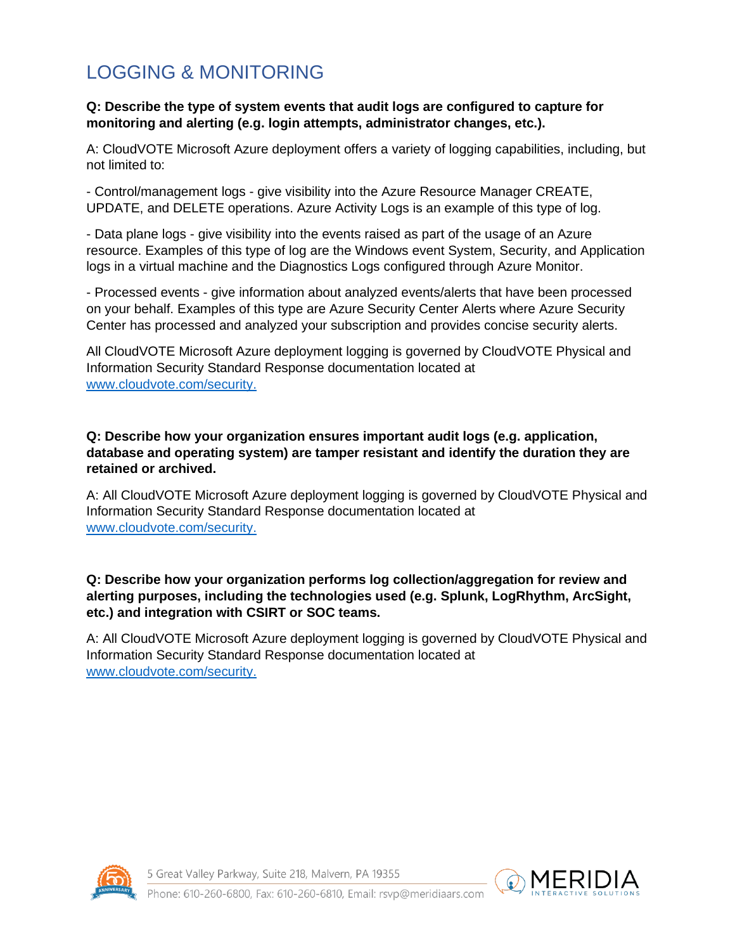# <span id="page-17-0"></span>LOGGING & MONITORING

#### **Q: Describe the type of system events that audit logs are configured to capture for monitoring and alerting (e.g. login attempts, administrator changes, etc.).**

A: CloudVOTE Microsoft Azure deployment offers a variety of logging capabilities, including, but not limited to:

- Control/management logs - give visibility into the Azure Resource Manager CREATE, UPDATE, and DELETE operations. Azure Activity Logs is an example of this type of log.

- Data plane logs - give visibility into the events raised as part of the usage of an Azure resource. Examples of this type of log are the Windows event System, Security, and Application logs in a virtual machine and the Diagnostics Logs configured through Azure Monitor.

- Processed events - give information about analyzed events/alerts that have been processed on your behalf. Examples of this type are Azure Security Center Alerts where Azure Security Center has processed and analyzed your subscription and provides concise security alerts.

All CloudVOTE Microsoft Azure deployment logging is governed by CloudVOTE Physical and Information Security Standard Response documentation located at [www.cloudvote.com/security.](http://www.cloudvote.com/security)

**Q: Describe how your organization ensures important audit logs (e.g. application, database and operating system) are tamper resistant and identify the duration they are retained or archived.**

A: All CloudVOTE Microsoft Azure deployment logging is governed by CloudVOTE Physical and Information Security Standard Response documentation located at [www.cloudvote.com/security.](http://www.cloudvote.com/security)

### **Q: Describe how your organization performs log collection/aggregation for review and alerting purposes, including the technologies used (e.g. Splunk, LogRhythm, ArcSight, etc.) and integration with CSIRT or SOC teams.**

A: All CloudVOTE Microsoft Azure deployment logging is governed by CloudVOTE Physical and Information Security Standard Response documentation located at [www.cloudvote.com/security.](http://www.cloudvote.com/security)



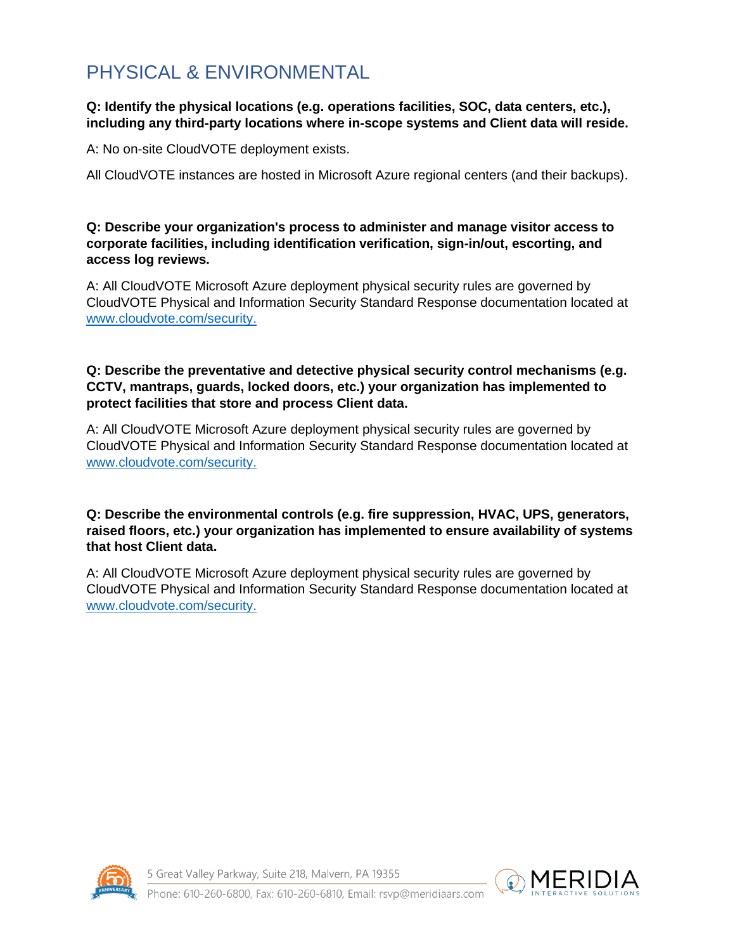# <span id="page-18-0"></span>PHYSICAL & ENVIRONMENTAL

### **Q: Identify the physical locations (e.g. operations facilities, SOC, data centers, etc.), including any third-party locations where in-scope systems and Client data will reside.**

A: No on-site CloudVOTE deployment exists.

All CloudVOTE instances are hosted in Microsoft Azure regional centers (and their backups).

### **Q: Describe your organization's process to administer and manage visitor access to corporate facilities, including identification verification, sign-in/out, escorting, and access log reviews.**

A: All CloudVOTE Microsoft Azure deployment physical security rules are governed by CloudVOTE Physical and Information Security Standard Response documentation located at [www.cloudvote.com/security.](http://www.cloudvote.com/security)

### **Q: Describe the preventative and detective physical security control mechanisms (e.g. CCTV, mantraps, guards, locked doors, etc.) your organization has implemented to protect facilities that store and process Client data.**

A: All CloudVOTE Microsoft Azure deployment physical security rules are governed by CloudVOTE Physical and Information Security Standard Response documentation located at [www.cloudvote.com/security.](http://www.cloudvote.com/security)

# **Q: Describe the environmental controls (e.g. fire suppression, HVAC, UPS, generators, raised floors, etc.) your organization has implemented to ensure availability of systems that host Client data.**

A: All CloudVOTE Microsoft Azure deployment physical security rules are governed by CloudVOTE Physical and Information Security Standard Response documentation located at [www.cloudvote.com/security.](http://www.cloudvote.com/security)



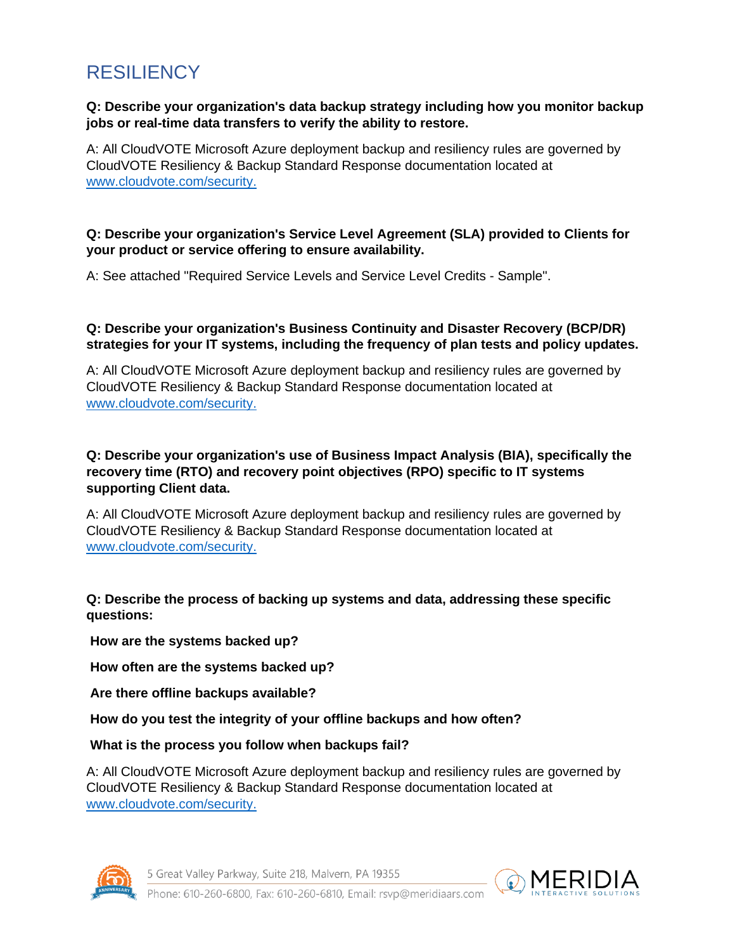# <span id="page-19-0"></span>RESILIENCY

#### **Q: Describe your organization's data backup strategy including how you monitor backup jobs or real-time data transfers to verify the ability to restore.**

A: All CloudVOTE Microsoft Azure deployment backup and resiliency rules are governed by CloudVOTE Resiliency & Backup Standard Response documentation located at [www.cloudvote.com/security.](http://www.cloudvote.com/security)

### **Q: Describe your organization's Service Level Agreement (SLA) provided to Clients for your product or service offering to ensure availability.**

A: See attached "Required Service Levels and Service Level Credits - Sample".

# **Q: Describe your organization's Business Continuity and Disaster Recovery (BCP/DR) strategies for your IT systems, including the frequency of plan tests and policy updates.**

A: All CloudVOTE Microsoft Azure deployment backup and resiliency rules are governed by CloudVOTE Resiliency & Backup Standard Response documentation located at [www.cloudvote.com/security.](http://www.cloudvote.com/security)

### **Q: Describe your organization's use of Business Impact Analysis (BIA), specifically the recovery time (RTO) and recovery point objectives (RPO) specific to IT systems supporting Client data.**

A: All CloudVOTE Microsoft Azure deployment backup and resiliency rules are governed by CloudVOTE Resiliency & Backup Standard Response documentation located at [www.cloudvote.com/security.](http://www.cloudvote.com/security)

# **Q: Describe the process of backing up systems and data, addressing these specific questions:**

**How are the systems backed up?**

**How often are the systems backed up?**

**Are there offline backups available?**

**How do you test the integrity of your offline backups and how often?**

# **What is the process you follow when backups fail?**

A: All CloudVOTE Microsoft Azure deployment backup and resiliency rules are governed by CloudVOTE Resiliency & Backup Standard Response documentation located at [www.cloudvote.com/security.](http://www.cloudvote.com/security)



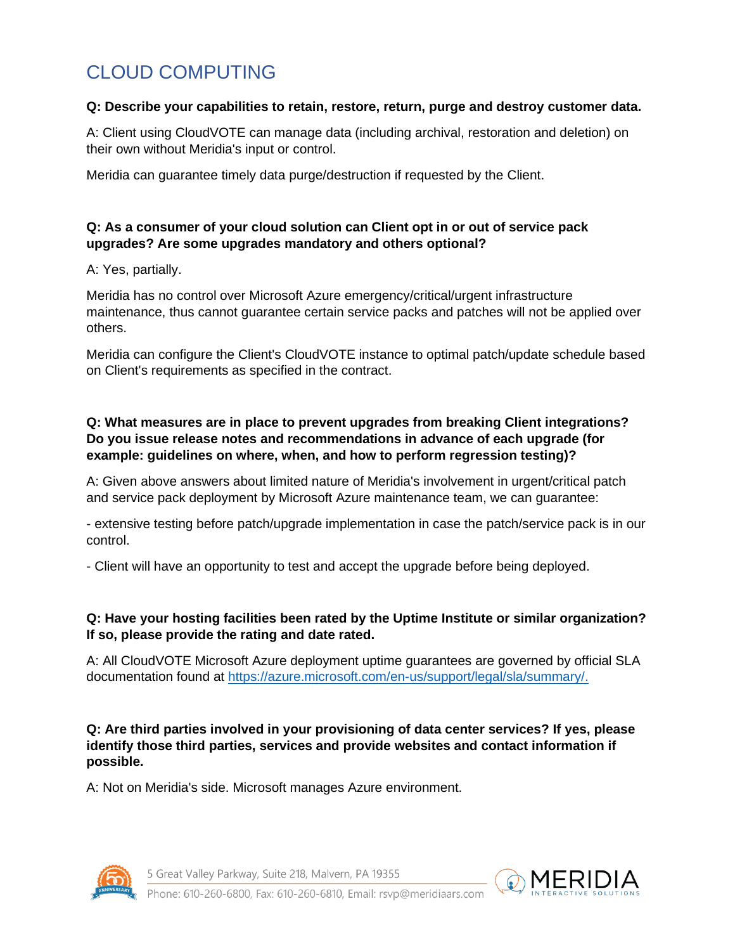# <span id="page-20-0"></span>CLOUD COMPUTING

#### **Q: Describe your capabilities to retain, restore, return, purge and destroy customer data.**

A: Client using CloudVOTE can manage data (including archival, restoration and deletion) on their own without Meridia's input or control.

Meridia can guarantee timely data purge/destruction if requested by the Client.

# **Q: As a consumer of your cloud solution can Client opt in or out of service pack upgrades? Are some upgrades mandatory and others optional?**

A: Yes, partially.

Meridia has no control over Microsoft Azure emergency/critical/urgent infrastructure maintenance, thus cannot guarantee certain service packs and patches will not be applied over others.

Meridia can configure the Client's CloudVOTE instance to optimal patch/update schedule based on Client's requirements as specified in the contract.

# **Q: What measures are in place to prevent upgrades from breaking Client integrations? Do you issue release notes and recommendations in advance of each upgrade (for example: guidelines on where, when, and how to perform regression testing)?**

A: Given above answers about limited nature of Meridia's involvement in urgent/critical patch and service pack deployment by Microsoft Azure maintenance team, we can guarantee:

- extensive testing before patch/upgrade implementation in case the patch/service pack is in our control.

- Client will have an opportunity to test and accept the upgrade before being deployed.

# **Q: Have your hosting facilities been rated by the Uptime Institute or similar organization? If so, please provide the rating and date rated.**

A: All CloudVOTE Microsoft Azure deployment uptime guarantees are governed by official SLA documentation found at [https://azure.microsoft.com/en-us/support/legal/sla/summary/.](https://azure.microsoft.com/en-us/support/legal/sla/summary/)

**Q: Are third parties involved in your provisioning of data center services? If yes, please identify those third parties, services and provide websites and contact information if possible.**

A: Not on Meridia's side. Microsoft manages Azure environment.



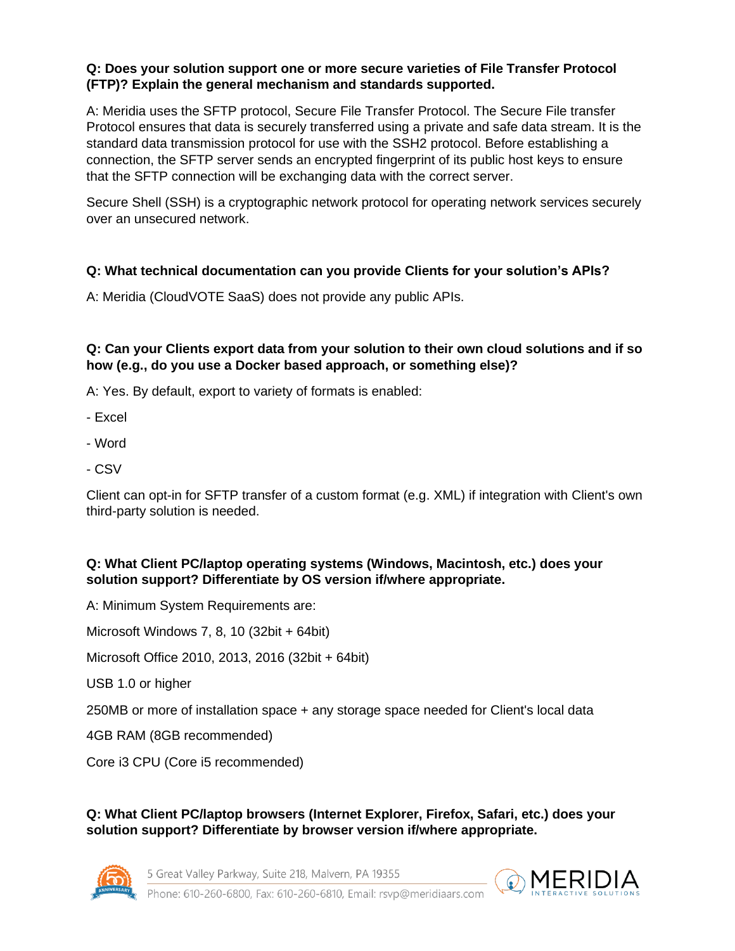#### **Q: Does your solution support one or more secure varieties of File Transfer Protocol (FTP)? Explain the general mechanism and standards supported.**

A: Meridia uses the SFTP protocol, Secure File Transfer Protocol. The Secure File transfer Protocol ensures that data is securely transferred using a private and safe data stream. It is the standard data transmission protocol for use with the SSH2 protocol. Before establishing a connection, the SFTP server sends an encrypted fingerprint of its public host keys to ensure that the SFTP connection will be exchanging data with the correct server.

Secure Shell (SSH) is a cryptographic network protocol for operating network services securely over an unsecured network.

# **Q: What technical documentation can you provide Clients for your solution's APIs?**

A: Meridia (CloudVOTE SaaS) does not provide any public APIs.

**Q: Can your Clients export data from your solution to their own cloud solutions and if so how (e.g., do you use a Docker based approach, or something else)?**

A: Yes. By default, export to variety of formats is enabled:

- Excel
- Word
- CSV

Client can opt-in for SFTP transfer of a custom format (e.g. XML) if integration with Client's own third-party solution is needed.

# **Q: What Client PC/laptop operating systems (Windows, Macintosh, etc.) does your solution support? Differentiate by OS version if/where appropriate.**

A: Minimum System Requirements are:

Microsoft Windows 7, 8, 10 (32bit + 64bit)

Microsoft Office 2010, 2013, 2016 (32bit + 64bit)

USB 1.0 or higher

250MB or more of installation space + any storage space needed for Client's local data

4GB RAM (8GB recommended)

Core i3 CPU (Core i5 recommended)

**Q: What Client PC/laptop browsers (Internet Explorer, Firefox, Safari, etc.) does your solution support? Differentiate by browser version if/where appropriate.**



5 Great Valley Parkway, Suite 218, Malvern, PA 19355

**MERIDIA** 

Phone: 610-260-6800, Fax: 610-260-6810, Email: rsyp@meridiaars.com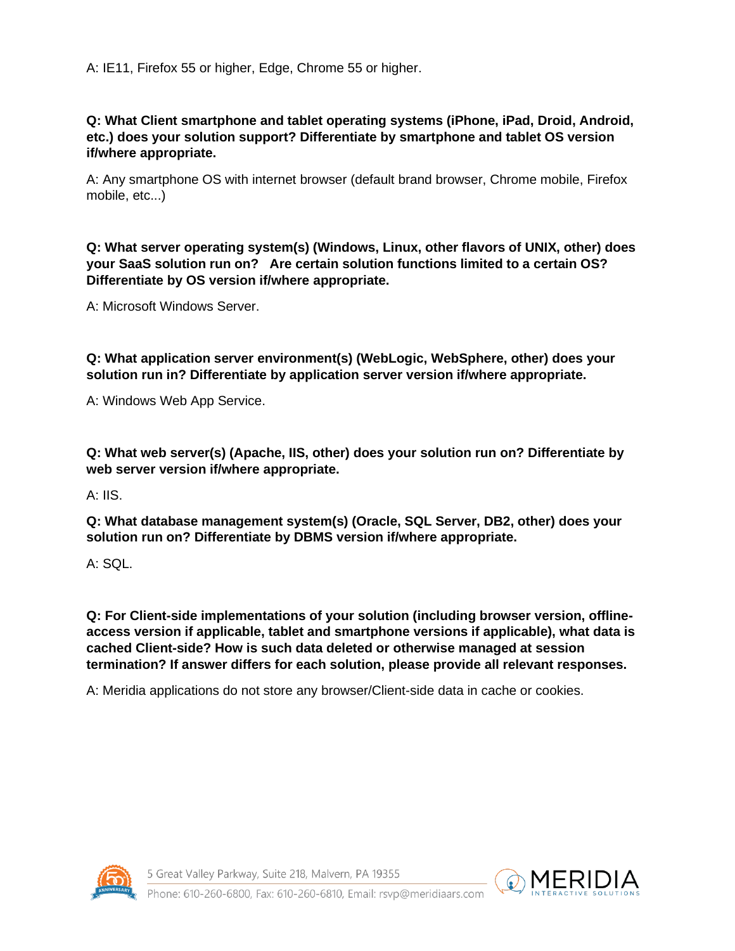A: IE11, Firefox 55 or higher, Edge, Chrome 55 or higher.

### **Q: What Client smartphone and tablet operating systems (iPhone, iPad, Droid, Android, etc.) does your solution support? Differentiate by smartphone and tablet OS version if/where appropriate.**

A: Any smartphone OS with internet browser (default brand browser, Chrome mobile, Firefox mobile, etc...)

**Q: What server operating system(s) (Windows, Linux, other flavors of UNIX, other) does your SaaS solution run on? Are certain solution functions limited to a certain OS? Differentiate by OS version if/where appropriate.**

A: Microsoft Windows Server.

**Q: What application server environment(s) (WebLogic, WebSphere, other) does your solution run in? Differentiate by application server version if/where appropriate.**

A: Windows Web App Service.

**Q: What web server(s) (Apache, IIS, other) does your solution run on? Differentiate by web server version if/where appropriate.**

A: IIS.

**Q: What database management system(s) (Oracle, SQL Server, DB2, other) does your solution run on? Differentiate by DBMS version if/where appropriate.**

A: SQL.

**Q: For Client-side implementations of your solution (including browser version, offlineaccess version if applicable, tablet and smartphone versions if applicable), what data is cached Client-side? How is such data deleted or otherwise managed at session termination? If answer differs for each solution, please provide all relevant responses.**

A: Meridia applications do not store any browser/Client-side data in cache or cookies.



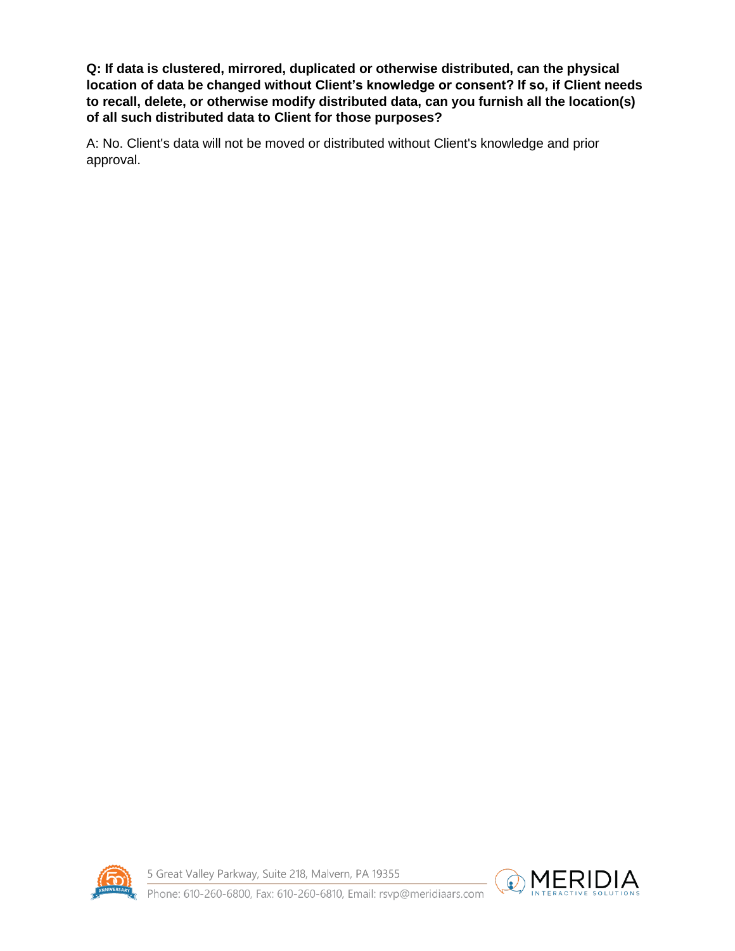**Q: If data is clustered, mirrored, duplicated or otherwise distributed, can the physical location of data be changed without Client's knowledge or consent? If so, if Client needs to recall, delete, or otherwise modify distributed data, can you furnish all the location(s) of all such distributed data to Client for those purposes?**

A: No. Client's data will not be moved or distributed without Client's knowledge and prior approval.



5 Great Valley Parkway, Suite 218, Malvern, PA 19355



Phone: 610-260-6800, Fax: 610-260-6810, Email: rsyp@meridiaars.com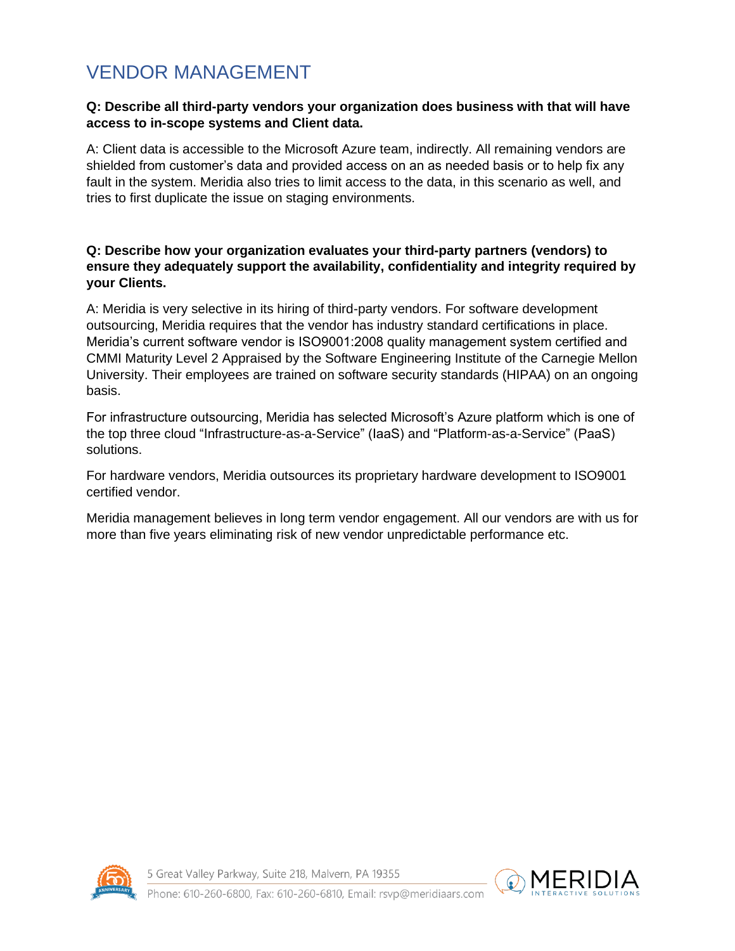# <span id="page-24-0"></span>VENDOR MANAGEMENT

#### **Q: Describe all third-party vendors your organization does business with that will have access to in-scope systems and Client data.**

A: Client data is accessible to the Microsoft Azure team, indirectly. All remaining vendors are shielded from customer's data and provided access on an as needed basis or to help fix any fault in the system. Meridia also tries to limit access to the data, in this scenario as well, and tries to first duplicate the issue on staging environments.

# **Q: Describe how your organization evaluates your third-party partners (vendors) to ensure they adequately support the availability, confidentiality and integrity required by your Clients.**

A: Meridia is very selective in its hiring of third-party vendors. For software development outsourcing, Meridia requires that the vendor has industry standard certifications in place. Meridia's current software vendor is ISO9001:2008 quality management system certified and CMMI Maturity Level 2 Appraised by the Software Engineering Institute of the Carnegie Mellon University. Their employees are trained on software security standards (HIPAA) on an ongoing basis.

For infrastructure outsourcing, Meridia has selected Microsoft's Azure platform which is one of the top three cloud "Infrastructure-as-a-Service" (IaaS) and "Platform-as-a-Service" (PaaS) solutions.

For hardware vendors, Meridia outsources its proprietary hardware development to ISO9001 certified vendor.

Meridia management believes in long term vendor engagement. All our vendors are with us for more than five years eliminating risk of new vendor unpredictable performance etc.